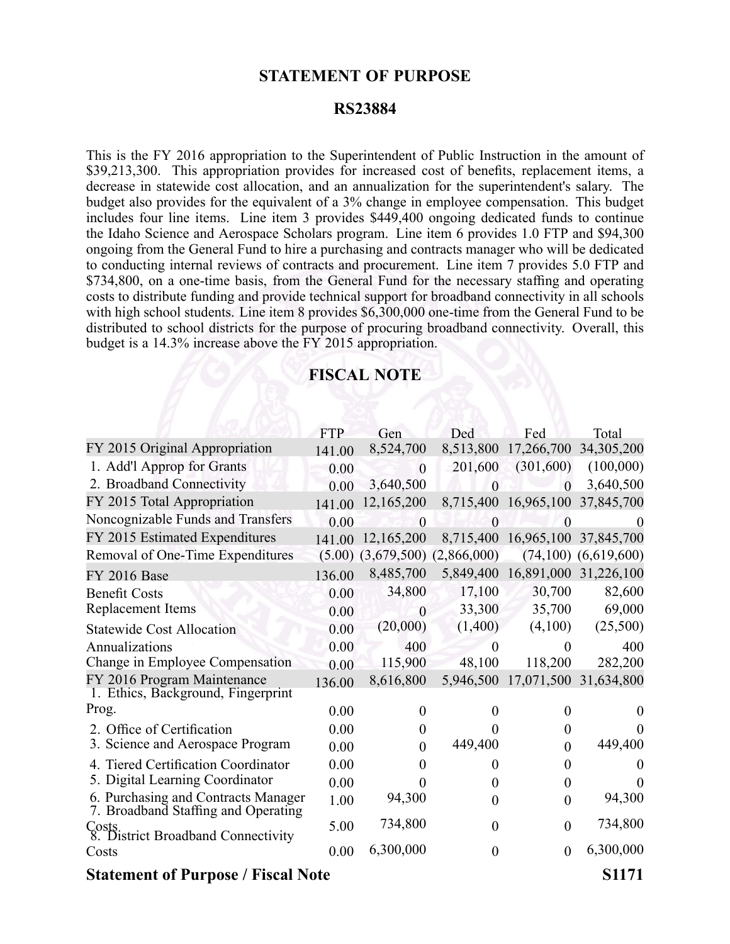## **STATEMENT OF PURPOSE**

## **RS23884**

This is the FY 2016 appropriation to the Superintendent of Public Instruction in the amount of \$39,213,300. This appropriation provides for increased cost of benefits, replacement items, a decrease in statewide cost allocation, and an annualization for the superintendent's salary. The budget also provides for the equivalent of <sup>a</sup> 3% change in employee compensation. This budget includes four line items. Line item 3 provides \$449,400 ongoing dedicated funds to continue the Idaho Science and Aerospace Scholars program. Line item 6 provides 1.0 FTP and \$94,300 ongoing from the General Fund to hire <sup>a</sup> purchasing and contracts manager who will be dedicated to conducting internal reviews of contracts and procurement. Line item 7 provides 5.0 FTP and \$734,800, on <sup>a</sup> one-time basis, from the General Fund for the necessary staffing and operating costs to distribute funding and provide technical suppor<sup>t</sup> for broadband connectivity in all schools with high school students. Line item 8 provides \$6,300,000 one-time from the General Fund to be distributed to school districts for the purpose of procuring broadband connectivity. Overall, this budget is <sup>a</sup> 14.3% increase above the FY 2015 appropriation.

## **FISCAL NOTE**

|                                                                            | <b>FTP</b> | Gen            | Ded                         | Fed                  | Total                    |
|----------------------------------------------------------------------------|------------|----------------|-----------------------------|----------------------|--------------------------|
| FY 2015 Original Appropriation                                             | 141.00     | 8,524,700      | 8,513,800                   | 17,266,700           | 34,305,200               |
| 1. Add'l Approp for Grants                                                 | 0.00       | $\theta$       | 201,600                     | (301,600)            | (100,000)                |
| 2. Broadband Connectivity                                                  | 0.00       | 3,640,500      | $\overline{0}$              | $\theta$             | 3,640,500                |
| FY 2015 Total Appropriation                                                | 141.00     | 12,165,200     |                             | 8,715,400 16,965,100 | 37,845,700               |
| Noncognizable Funds and Transfers                                          | 0.00       | $\mathbf{0}$   | $\overline{0}$              |                      | $\theta$                 |
| FY 2015 Estimated Expenditures                                             | 141.00     | 12,165,200     |                             | 8,715,400 16,965,100 | 37,845,700               |
| Removal of One-Time Expenditures                                           | (5.00)     |                | $(3,679,500)$ $(2,866,000)$ |                      | $(74,100)$ $(6,619,600)$ |
| <b>FY 2016 Base</b>                                                        | 136.00     | 8,485,700      |                             | 5,849,400 16,891,000 | 31,226,100               |
| <b>Benefit Costs</b>                                                       | 0.00       | 34,800         | 17,100                      | 30,700               | 82,600                   |
| Replacement Items                                                          | 0.00       | $\overline{0}$ | 33,300                      | 35,700               | 69,000                   |
| <b>Statewide Cost Allocation</b>                                           | 0.00       | (20,000)       | (1,400)                     | (4,100)              | (25,500)                 |
| Annualizations                                                             | 0.00       | 400            | $\theta$                    | $\theta$             | 400                      |
| Change in Employee Compensation                                            | 0.00       | 115,900        | 48,100                      | 118,200              | 282,200                  |
| FY 2016 Program Maintenance                                                | 136.00     | 8,616,800      | 5,946,500                   | 17,071,500           | 31,634,800               |
| 1. Ethics, Background, Fingerprint                                         |            |                |                             |                      |                          |
| Prog.                                                                      | 0.00       | 0              | 0                           | $\theta$             |                          |
| 2. Office of Certification                                                 | 0.00       | 0              |                             | 0                    | $\theta$                 |
| 3. Science and Aerospace Program                                           | 0.00       | 0              | 449,400                     | $\theta$             | 449,400                  |
| 4. Tiered Certification Coordinator                                        | 0.00       | 0              | $\Omega$                    | $\overline{0}$       |                          |
| 5. Digital Learning Coordinator                                            | 0.00       | 0              | $\Omega$                    | $\theta$             | $\Omega$                 |
| 6. Purchasing and Contracts Manager<br>7. Broadband Staffing and Operating | 1.00       | 94,300         | $\overline{0}$              | $\boldsymbol{0}$     | 94,300                   |
| Costs.<br>8. District Broadband Connectivity                               | 5.00       | 734,800        | $\theta$                    | $\overline{0}$       | 734,800                  |
| Costs                                                                      | 0.00       | 6,300,000      | $\overline{0}$              | $\overline{0}$       | 6,300,000                |
| <b>Statement of Purpose / Fiscal Note</b>                                  |            |                |                             |                      | S <sub>1171</sub>        |